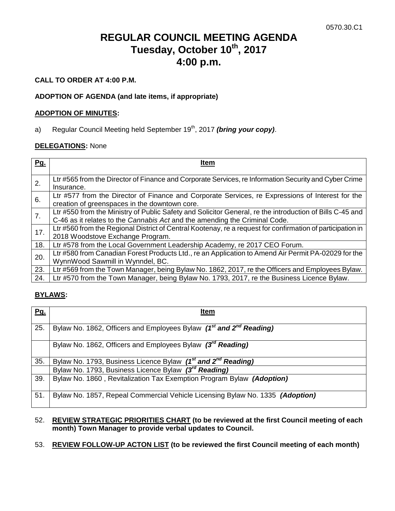# **REGULAR COUNCIL MEETING AGENDA Tuesday, October 10th, 2017 4:00 p.m.**

# **CALL TO ORDER AT 4:00 P.M.**

# **ADOPTION OF AGENDA (and late items, if appropriate)**

### **ADOPTION OF MINUTES:**

a) Regular Council Meeting held September 19<sup>th</sup>, 2017 *(bring your copy)*.

## **DELEGATIONS:** None

| Pg. | Item                                                                                                                                                                                   |
|-----|----------------------------------------------------------------------------------------------------------------------------------------------------------------------------------------|
|     | Ltr #565 from the Director of Finance and Corporate Services, re Information Security and Cyber Crime                                                                                  |
| 2.  | Insurance.                                                                                                                                                                             |
| 6.  | Ltr #577 from the Director of Finance and Corporate Services, re Expressions of Interest for the<br>creation of greenspaces in the downtown core.                                      |
| 7.  | Ltr #550 from the Ministry of Public Safety and Solicitor General, re the introduction of Bills C-45 and<br>C-46 as it relates to the Cannabis Act and the amending the Criminal Code. |
| 17. | Ltr #560 from the Regional District of Central Kootenay, re a request for confirmation of participation in                                                                             |
|     | 2018 Woodstove Exchange Program.                                                                                                                                                       |
| 18. | Ltr #578 from the Local Government Leadership Academy, re 2017 CEO Forum.                                                                                                              |
| 20. | Ltr #580 from Canadian Forest Products Ltd., re an Application to Amend Air Permit PA-02029 for the                                                                                    |
|     | WynnWood Sawmill in Wynndel, BC.                                                                                                                                                       |
| 23. | Ltr #569 from the Town Manager, being Bylaw No. 1862, 2017, re the Officers and Employees Bylaw.                                                                                       |
| 24. | Ltr #570 from the Town Manager, being Bylaw No. 1793, 2017, re the Business Licence Bylaw.                                                                                             |

# **BYLAWS:**

| <u>Pg.</u> | Item                                                                                       |
|------------|--------------------------------------------------------------------------------------------|
| 25.        | Bylaw No. 1862, Officers and Employees Bylaw (1 <sup>st</sup> and 2 <sup>nd</sup> Reading) |
|            | Bylaw No. 1862, Officers and Employees Bylaw (3 <sup>rd</sup> Reading)                     |
| 35.        | Bylaw No. 1793, Business Licence Bylaw (1 <sup>st</sup> and 2 <sup>nd</sup> Reading)       |
|            | Bylaw No. 1793, Business Licence Bylaw (3 <sup>rd</sup> Reading)                           |
| 39.        | Bylaw No. 1860, Revitalization Tax Exemption Program Bylaw (Adoption)                      |
| 51.        | Bylaw No. 1857, Repeal Commercial Vehicle Licensing Bylaw No. 1335 (Adoption)              |

- 52. **REVIEW STRATEGIC PRIORITIES CHART (to be reviewed at the first Council meeting of each month) Town Manager to provide verbal updates to Council.**
- 53. **REVIEW FOLLOW-UP ACTON LIST (to be reviewed the first Council meeting of each month)**